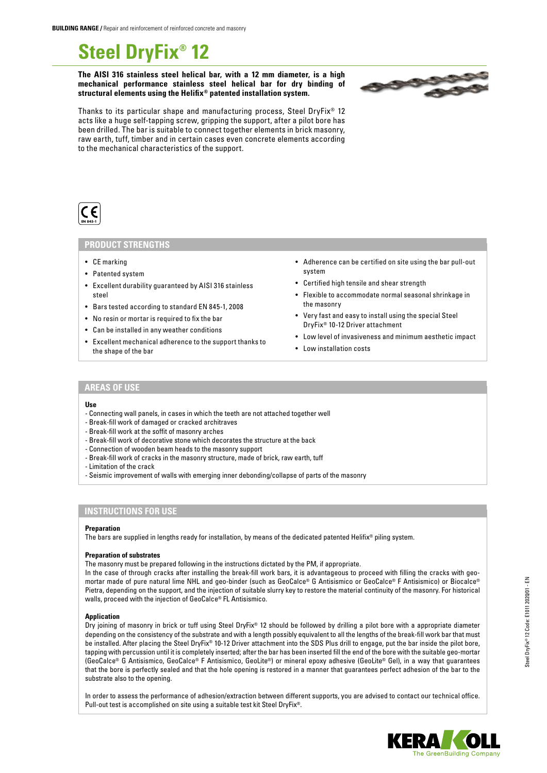# **Steel DryFix® 12**

**The AISI 316 stainless steel helical bar, with a 12 mm diameter, is a high mechanical performance stainless steel helical bar for dry binding of structural elements using the Helifix® patented installation system.**



Thanks to its particular shape and manufacturing process, Steel DryFix® 12 acts like a huge self-tapping screw, gripping the support, after a pilot bore has been drilled. The bar is suitable to connect together elements in brick masonry, raw earth, tuff, timber and in certain cases even concrete elements according to the mechanical characteristics of the support.



## **PRODUCT STRENGTHS**

- CE marking
- Patented system
- Excellent durability guaranteed by AISI 316 stainless steel
- Bars tested according to standard EN 845-1, 2008
- No resin or mortar is required to fix the bar
- Can be installed in any weather conditions
- Excellent mechanical adherence to the support thanks to the shape of the bar
- Adherence can be certified on site using the bar pull-out system
- Certified high tensile and shear strength
- Flexible to accommodate normal seasonal shrinkage in the masonry
- Very fast and easy to install using the special Steel DryFix® 10-12 Driver attachment
- Low level of invasiveness and minimum aesthetic impact
- Low installation costs

## **AREAS OF USE**

#### **Use**

- Connecting wall panels, in cases in which the teeth are not attached together well
- Break-fill work of damaged or cracked architraves
- Break-fill work at the soffit of masonry arches
- Break-fill work of decorative stone which decorates the structure at the back
- Connection of wooden beam heads to the masonry support
- Break-fill work of cracks in the masonry structure, made of brick, raw earth, tuff
- Limitation of the crack
- Seismic improvement of walls with emerging inner debonding/collapse of parts of the masonry

## **INSTRUCTIONS FOR USE**

#### **Preparation**

The bars are supplied in lengths ready for installation, by means of the dedicated patented Helifix® piling system.

#### **Preparation of substrates**

The masonry must be prepared following in the instructions dictated by the PM, if appropriate.

In the case of through cracks after installing the break-fill work bars, it is advantageous to proceed with filling the cracks with geomortar made of pure natural lime NHL and geo-binder (such as GeoCalce® G Antisismico or GeoCalce® F Antisismico) or Biocalce® Pietra, depending on the support, and the injection of suitable slurry key to restore the material continuity of the masonry. For historical walls, proceed with the injection of GeoCalce® FL Antisismico.

#### **Application**

Dry joining of masonry in brick or tuff using Steel DryFix® 12 should be followed by drilling a pilot bore with a appropriate diameter depending on the consistency of the substrate and with a length possibly equivalent to all the lengths of the break-fill work bar that must be installed. After placing the Steel DryFix® 10-12 Driver attachment into the SDS Plus drill to engage, put the bar inside the pilot bore, tapping with percussion until it is completely inserted; after the bar has been inserted fill the end of the bore with the suitable geo-mortar (GeoCalce® G Antisismico, GeoCalce® F Antisismico, GeoLite®) or mineral epoxy adhesive (GeoLite® Gel), in a way that guarantees that the bore is perfectly sealed and that the hole opening is restored in a manner that guarantees perfect adhesion of the bar to the substrate also to the opening.

In order to assess the performance of adhesion/extraction between different supports, you are advised to contact our technical office. Pull-out test is accomplished on site using a suitable test kit Steel DryFix®.